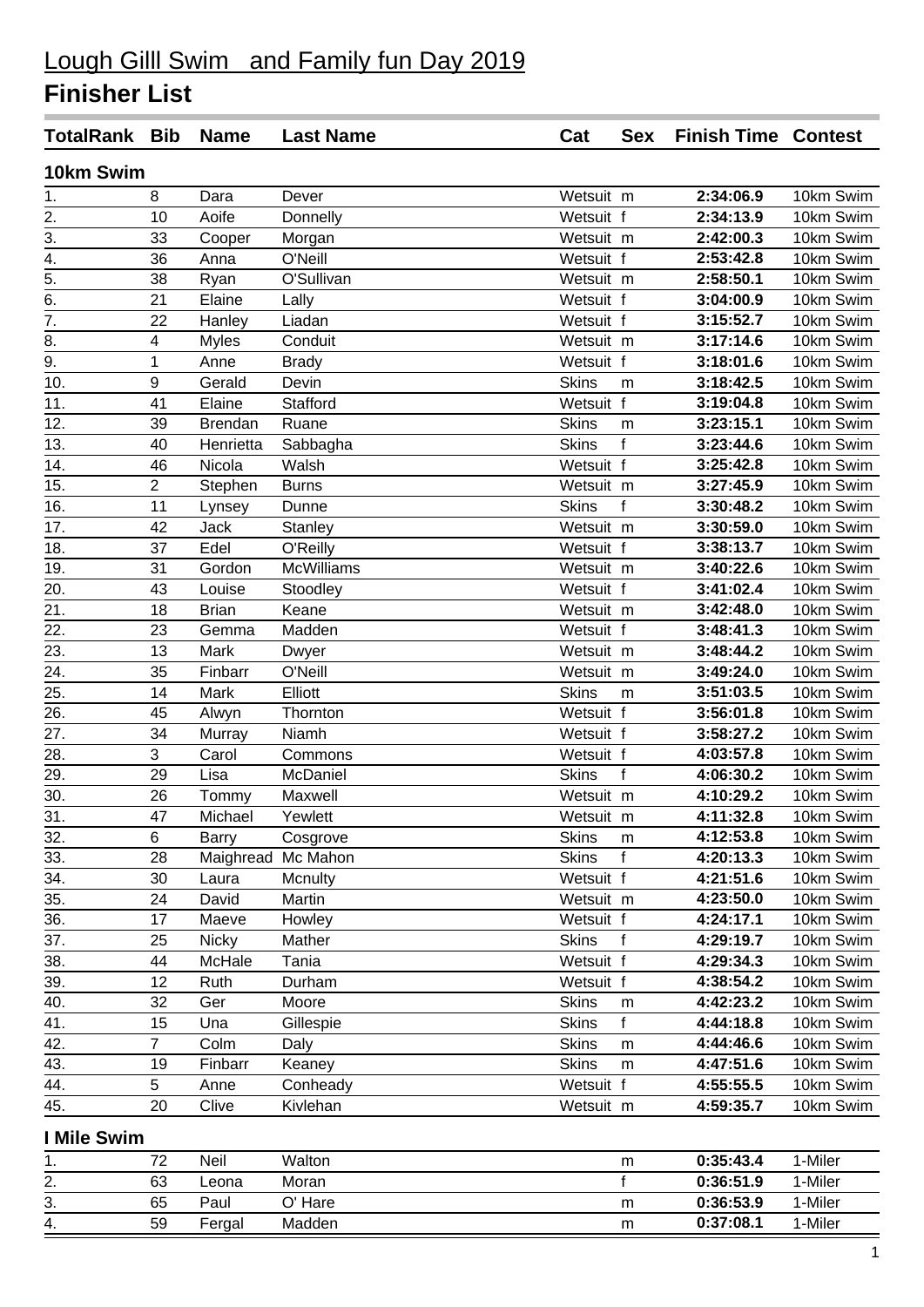## **Finisher List**

| <b>TotalRank Bib</b>             |                | <b>Name</b>    | <b>Last Name</b>   | Cat          | <b>Sex</b>   | <b>Finish Time Contest</b> |           |
|----------------------------------|----------------|----------------|--------------------|--------------|--------------|----------------------------|-----------|
| 10km Swim                        |                |                |                    |              |              |                            |           |
| 1.                               | 8              | Dara           | Dever              | Wetsuit m    |              | 2:34:06.9                  | 10km Swim |
|                                  | 10             | Aoife          | Donnelly           | Wetsuit f    |              | 2:34:13.9                  | 10km Swim |
| $\frac{2.}{3.4}$ $\frac{4.}{5.}$ | 33             | Cooper         | Morgan             | Wetsuit m    |              | 2:42:00.3                  | 10km Swim |
|                                  | 36             | Anna           | O'Neill            | Wetsuit f    |              | 2:53:42.8                  | 10km Swim |
|                                  | 38             | Ryan           | O'Sullivan         | Wetsuit m    |              | 2:58:50.1                  | 10km Swim |
| 6.                               | 21             | Elaine         | Lally              | Wetsuit f    |              | 3:04:00.9                  | 10km Swim |
| $\overline{7}$ .                 | 22             | Hanley         | Liadan             | Wetsuit f    |              | 3:15:52.7                  | 10km Swim |
| 8.                               | 4              | <b>Myles</b>   | Conduit            | Wetsuit m    |              | 3:17:14.6                  | 10km Swim |
| 9.                               | 1              | Anne           | <b>Brady</b>       | Wetsuit f    |              | 3:18:01.6                  | 10km Swim |
| 10.                              | 9              | Gerald         | Devin              | <b>Skins</b> | m            | 3:18:42.5                  | 10km Swim |
| 11.                              | 41             | Elaine         | Stafford           | Wetsuit f    |              | 3:19:04.8                  | 10km Swim |
| 12.                              | 39             | <b>Brendan</b> | Ruane              | <b>Skins</b> | m            | 3:23:15.1                  | 10km Swim |
| 13.                              | 40             | Henrietta      | Sabbagha           | <b>Skins</b> | f            | 3:23:44.6                  | 10km Swim |
| 14.                              | 46             | Nicola         | Walsh              | Wetsuit f    |              | 3:25:42.8                  | 10km Swim |
| 15.                              | $\overline{2}$ | Stephen        | <b>Burns</b>       | Wetsuit m    |              | 3:27:45.9                  | 10km Swim |
| 16.                              | 11             | Lynsey         | Dunne              | <b>Skins</b> | $\mathsf{f}$ | 3:30:48.2                  | 10km Swim |
| 17.                              | 42             | Jack           | Stanley            | Wetsuit m    |              | 3:30:59.0                  | 10km Swim |
| 18.                              | 37             | Edel           | O'Reilly           | Wetsuit f    |              | 3:38:13.7                  | 10km Swim |
| 19.                              | 31             | Gordon         | <b>McWilliams</b>  | Wetsuit m    |              | 3:40:22.6                  | 10km Swim |
| 20.                              | 43             | Louise         | Stoodley           | Wetsuit f    |              | 3:41:02.4                  | 10km Swim |
| 21.                              | 18             | <b>Brian</b>   | Keane              | Wetsuit m    |              | 3:42:48.0                  | 10km Swim |
| 22.                              | 23             | Gemma          | Madden             | Wetsuit f    |              | 3:48:41.3                  | 10km Swim |
| 23.                              | 13             | Mark           | Dwyer              | Wetsuit m    |              | 3:48:44.2                  | 10km Swim |
| 24.                              | 35             | Finbarr        | O'Neill            | Wetsuit m    |              | 3:49:24.0                  | 10km Swim |
| 25.                              | 14             | Mark           | Elliott            | <b>Skins</b> | m            | 3:51:03.5                  | 10km Swim |
| 26.                              | 45             | Alwyn          | Thornton           | Wetsuit f    |              | 3:56:01.8                  | 10km Swim |
| 27.                              | 34             | Murray         | Niamh              | Wetsuit f    |              | 3:58:27.2                  | 10km Swim |
| 28.                              | $\overline{3}$ | Carol          | Commons            | Wetsuit f    |              | 4:03:57.8                  | 10km Swim |
| 29.                              | 29             | Lisa           | McDaniel           | <b>Skins</b> | $\mathsf{f}$ | 4:06:30.2                  | 10km Swim |
| 30.                              | 26             | Tommy          | Maxwell            | Wetsuit m    |              | 4:10:29.2                  | 10km Swim |
| 31.                              | 47             | Michael        | Yewlett            | Wetsuit m    |              | 4:11:32.8                  | 10km Swim |
| 32.                              | 6              | <b>Barry</b>   | Cosgrove           | <b>Skins</b> | m            | 4:12:53.8                  | 10km Swim |
| 33.                              | 28             |                | Maighread Mc Mahon | <b>Skins</b> | f            | 4:20:13.3                  | 10km Swim |
| 34.                              | 30             | Laura          | Mcnulty            | Wetsuit f    |              | 4:21:51.6                  | 10km Swim |
| 35.                              | 24             | David          | Martin             | Wetsuit m    |              | 4:23:50.0                  | 10km Swim |
| 36.                              | 17             | Maeve          | Howley             | Wetsuit f    |              | 4:24:17.1                  | 10km Swim |
| 37.                              | 25             | <b>Nicky</b>   | Mather             | <b>Skins</b> | f            | 4:29:19.7                  | 10km Swim |
| 38.                              | 44             | McHale         | Tania              | Wetsuit f    |              | 4:29:34.3                  | 10km Swim |
| 39.                              | 12             | Ruth           | Durham             | Wetsuit f    |              | 4:38:54.2                  | 10km Swim |
| 40.                              | 32             | Ger            | Moore              | <b>Skins</b> | m            | 4:42:23.2                  | 10km Swim |
| 41.                              | 15             | Una            | Gillespie          | <b>Skins</b> | f            | 4:44:18.8                  | 10km Swim |
| 42.                              | $\overline{7}$ | Colm           | Daly               | <b>Skins</b> | m            | 4:44:46.6                  | 10km Swim |
| 43.                              | 19             | Finbarr        | Keaney             | <b>Skins</b> | m            | 4:47:51.6                  | 10km Swim |
| 44.                              | 5              | Anne           | Conheady           | Wetsuit f    |              | 4:55:55.5                  | 10km Swim |
| 45.                              | 20             | Clive          | Kivlehan           | Wetsuit m    |              | 4:59:35.7                  | 10km Swim |
| I Mile Swim                      |                |                |                    |              |              |                            |           |

| . . | 72 | <b>Neil</b> | Walton  | 0:35:43.4<br>m | 1-Miler |
|-----|----|-------------|---------|----------------|---------|
| 2.  | 63 | ∟eona       | Moran   | 0:36:51.9      | 1-Miler |
| 3.  | 65 | Paul        | O' Hare | 0:36:53.9<br>m | 1-Miler |
| 4.  | 59 | Fergal      | Madden  | 0:37:08.1<br>m | 1-Miler |